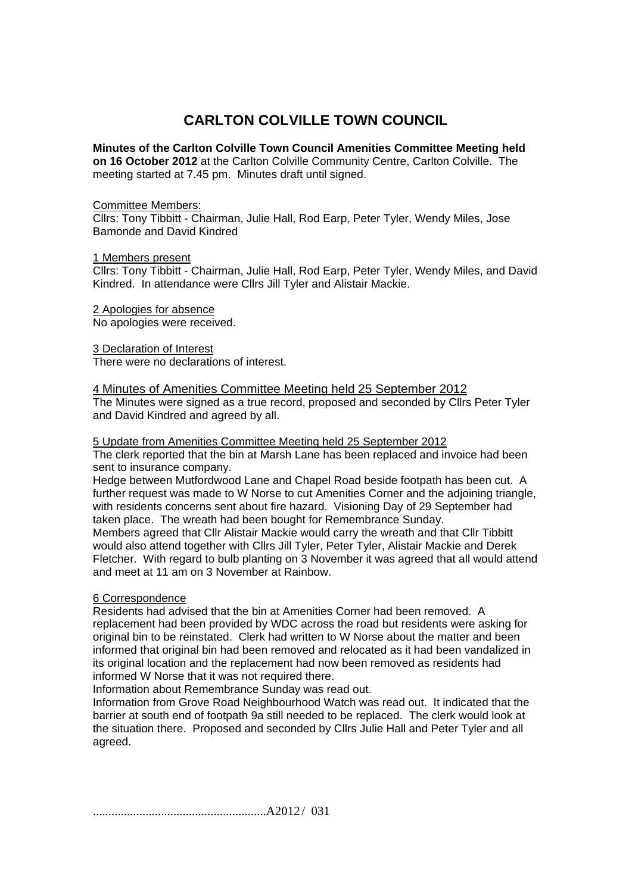# **CARLTON COLVILLE TOWN COUNCIL**

## **Minutes of the Carlton Colville Town Council Amenities Committee Meeting held**

**on 16 October 2012** at the Carlton Colville Community Centre, Carlton Colville. The meeting started at 7.45 pm. Minutes draft until signed.

#### Committee Members:

Cllrs: Tony Tibbitt - Chairman, Julie Hall, Rod Earp, Peter Tyler, Wendy Miles, Jose Bamonde and David Kindred

## 1 Members present

Cllrs: Tony Tibbitt - Chairman, Julie Hall, Rod Earp, Peter Tyler, Wendy Miles, and David Kindred. In attendance were Cllrs Jill Tyler and Alistair Mackie.

2 Apologies for absence No apologies were received.

3 Declaration of Interest

There were no declarations of interest.

4 Minutes of Amenities Committee Meeting held 25 September 2012

The Minutes were signed as a true record, proposed and seconded by Cllrs Peter Tyler and David Kindred and agreed by all.

## 5 Update from Amenities Committee Meeting held 25 September 2012

The clerk reported that the bin at Marsh Lane has been replaced and invoice had been sent to insurance company.

Hedge between Mutfordwood Lane and Chapel Road beside footpath has been cut. A further request was made to W Norse to cut Amenities Corner and the adjoining triangle, with residents concerns sent about fire hazard. Visioning Day of 29 September had taken place. The wreath had been bought for Remembrance Sunday. Members agreed that Cllr Alistair Mackie would carry the wreath and that Cllr Tibbitt would also attend together with Cllrs Jill Tyler, Peter Tyler, Alistair Mackie and Derek

Fletcher. With regard to bulb planting on 3 November it was agreed that all would attend and meet at 11 am on 3 November at Rainbow.

# 6 Correspondence

Residents had advised that the bin at Amenities Corner had been removed. A replacement had been provided by WDC across the road but residents were asking for original bin to be reinstated. Clerk had written to W Norse about the matter and been informed that original bin had been removed and relocated as it had been vandalized in its original location and the replacement had now been removed as residents had informed W Norse that it was not required there.

Information about Remembrance Sunday was read out.

Information from Grove Road Neighbourhood Watch was read out. It indicated that the barrier at south end of footpath 9a still needed to be replaced. The clerk would look at the situation there. Proposed and seconded by Cllrs Julie Hall and Peter Tyler and all agreed.

........................................................A2012 / 031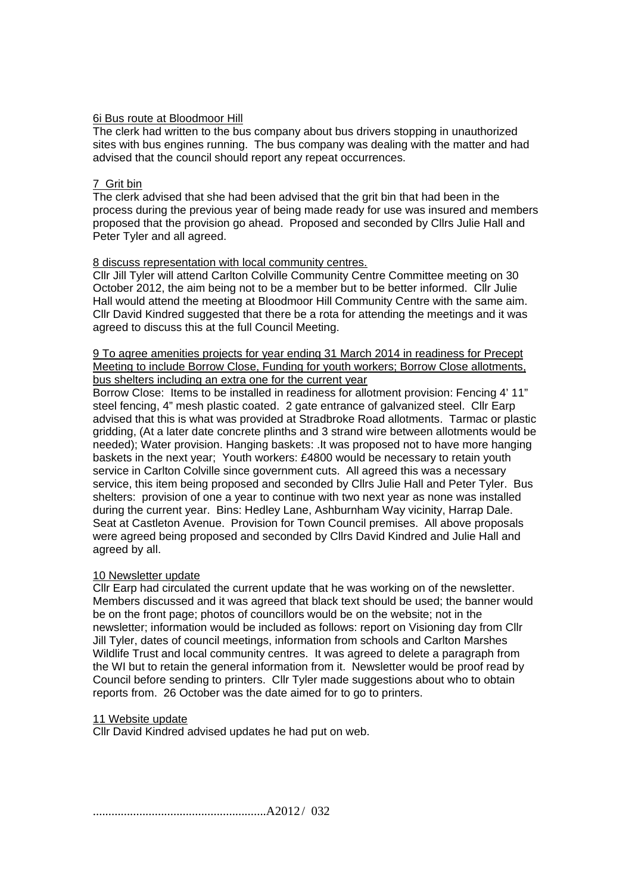### 6i Bus route at Bloodmoor Hill

The clerk had written to the bus company about bus drivers stopping in unauthorized sites with bus engines running. The bus company was dealing with the matter and had advised that the council should report any repeat occurrences.

## 7 Grit bin

The clerk advised that she had been advised that the grit bin that had been in the process during the previous year of being made ready for use was insured and members proposed that the provision go ahead. Proposed and seconded by Cllrs Julie Hall and Peter Tyler and all agreed.

## 8 discuss representation with local community centres.

Cllr Jill Tyler will attend Carlton Colville Community Centre Committee meeting on 30 October 2012, the aim being not to be a member but to be better informed. Cllr Julie Hall would attend the meeting at Bloodmoor Hill Community Centre with the same aim. Cllr David Kindred suggested that there be a rota for attending the meetings and it was agreed to discuss this at the full Council Meeting.

9 To agree amenities projects for year ending 31 March 2014 in readiness for Precept Meeting to include Borrow Close, Funding for youth workers; Borrow Close allotments, bus shelters including an extra one for the current year

Borrow Close: Items to be installed in readiness for allotment provision: Fencing 4' 11" steel fencing, 4" mesh plastic coated. 2 gate entrance of galvanized steel. Cllr Earp advised that this is what was provided at Stradbroke Road allotments. Tarmac or plastic gridding, (At a later date concrete plinths and 3 strand wire between allotments would be needed); Water provision. Hanging baskets: .It was proposed not to have more hanging baskets in the next year; Youth workers: £4800 would be necessary to retain youth service in Carlton Colville since government cuts. All agreed this was a necessary service, this item being proposed and seconded by Cllrs Julie Hall and Peter Tyler. Bus shelters: provision of one a year to continue with two next year as none was installed during the current year. Bins: Hedley Lane, Ashburnham Way vicinity, Harrap Dale. Seat at Castleton Avenue. Provision for Town Council premises. All above proposals were agreed being proposed and seconded by Cllrs David Kindred and Julie Hall and agreed by all.

#### 10 Newsletter update

Cllr Earp had circulated the current update that he was working on of the newsletter. Members discussed and it was agreed that black text should be used; the banner would be on the front page; photos of councillors would be on the website; not in the newsletter; information would be included as follows: report on Visioning day from Cllr Jill Tyler, dates of council meetings, information from schools and Carlton Marshes Wildlife Trust and local community centres. It was agreed to delete a paragraph from the WI but to retain the general information from it. Newsletter would be proof read by Council before sending to printers. Cllr Tyler made suggestions about who to obtain reports from. 26 October was the date aimed for to go to printers.

# 11 Website update

Cllr David Kindred advised updates he had put on web.